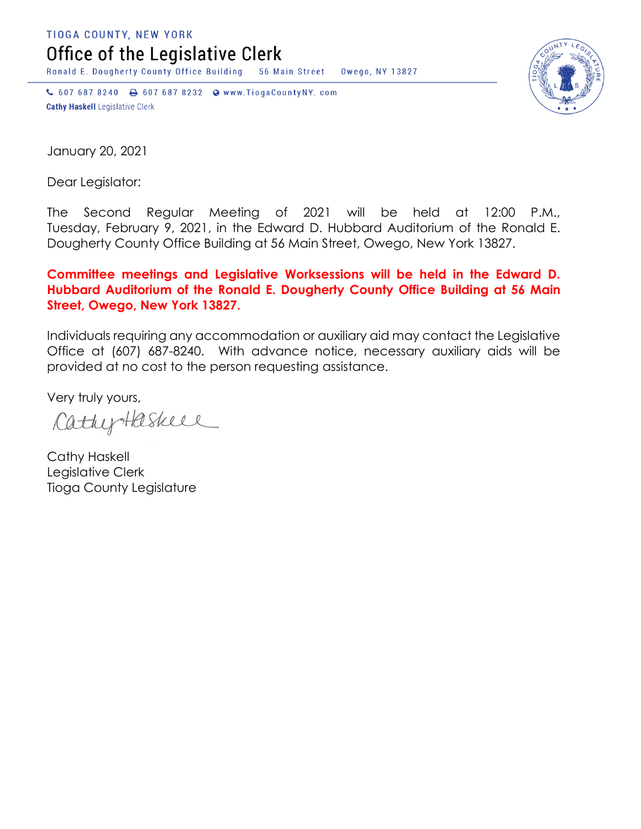TIOGA COUNTY, NEW YORK

Office of the Legislative Clerk

Ronald E. Dougherty County Office Building 56 Main Street Owego, NY 13827

↓ 607 687 8240 → 607 687 8232 → www.TiogaCountyNY.com **Cathy Haskell Legislative Clerk** 



January 20, 2021

Dear Legislator:

The Second Regular Meeting of 2021 will be held at 12:00 P.M., Tuesday, February 9, 2021, in the Edward D. Hubbard Auditorium of the Ronald E. Dougherty County Office Building at 56 Main Street, Owego, New York 13827.

**Committee meetings and Legislative Worksessions will be held in the Edward D. Hubbard Auditorium of the Ronald E. Dougherty County Office Building at 56 Main Street, Owego, New York 13827.**

Individuals requiring any accommodation or auxiliary aid may contact the Legislative Office at (607) 687-8240. With advance notice, necessary auxiliary aids will be provided at no cost to the person requesting assistance.

Very truly yours,

CathyHaskell

Cathy Haskell Legislative Clerk Tioga County Legislature